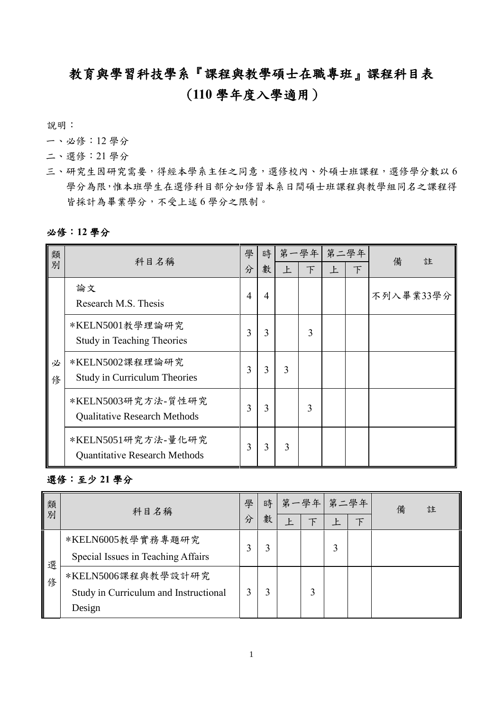## 教育與學習科技學系『課程與教學碩士在職專班』課程科目表

## (**110** 學年度入學適用)

說明:

- 一、必修:12 學分
- 二、選修:21 學分
- 三、研究生因研究需要,得經本學系主任之同意,選修校內、外碩士班課程,選修學分數以6 學分為限,惟本班學生在選修科目部分如修習本系日間碩士班課程與教學組同名之課程得 皆採計為畢業學分,不受上述 6 學分之限制。

## 必修:**12** 學分

| 類      | 科目名稱                                                       | 學              | 時              |              | 第一學年   | 第二學年         |   | 備<br>註    |
|--------|------------------------------------------------------------|----------------|----------------|--------------|--------|--------------|---|-----------|
| 別      |                                                            | 分              | 數              | $\mathsf{F}$ | $\top$ | $\mathsf{F}$ | 下 |           |
|        | 論文<br>Research M.S. Thesis                                 | $\overline{4}$ | $\overline{4}$ |              |        |              |   | 不列入畢業33學分 |
|        | *KELN5001教學理論研究<br><b>Study in Teaching Theories</b>       | 3              | 3              |              | 3      |              |   |           |
| 必<br>俢 | *KELN5002課程理論研究<br><b>Study in Curriculum Theories</b>     | 3              | 3              | 3            |        |              |   |           |
|        | *KELN5003研究方法-質性研究<br><b>Qualitative Research Methods</b>  | 3              | 3              |              | 3      |              |   |           |
|        | *KELN5051研究方法-量化研究<br><b>Quantitative Research Methods</b> | 3              | 3              | 3            |        |              |   |           |

## 選修:至少 **21** 學分

| 類<br>別 | 科目名稱                                                                  | 學 | 時<br>數 | Ŀ | 第一學年 | 第二學年<br>$\mathsf{F}$ | 備 | 註 |
|--------|-----------------------------------------------------------------------|---|--------|---|------|----------------------|---|---|
| 選<br>俢 | *KELN6005教學實務專題研究<br>Special Issues in Teaching Affairs               |   | 3      |   |      | 3                    |   |   |
|        | *KELN5006課程與教學設計研究<br>Study in Curriculum and Instructional<br>Design |   |        |   | 3    |                      |   |   |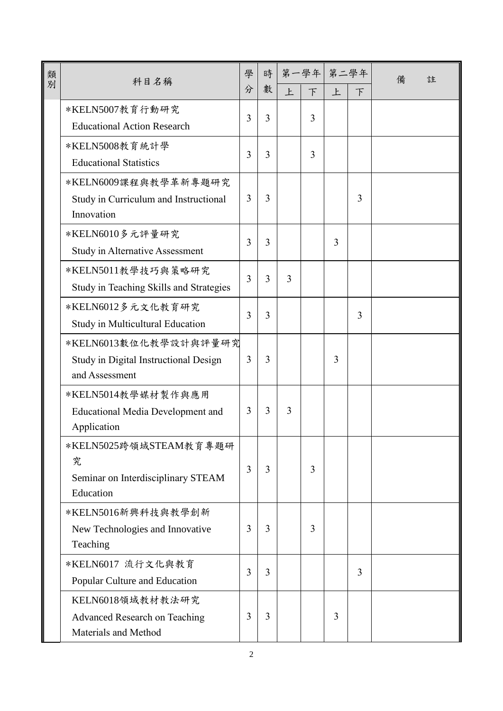| 類<br>別 | 科目名稱                                                                             | 學<br>分         | 時<br>數 | 上 | 第一學年 第二學年<br>F | 上 |   | 註<br>備 |
|--------|----------------------------------------------------------------------------------|----------------|--------|---|----------------|---|---|--------|
|        | *KELN5007教育行動研究<br><b>Educational Action Research</b>                            | 3              | 3      |   | 3              |   | 下 |        |
|        | *KELN5008教育統計學<br><b>Educational Statistics</b>                                  | 3              | 3      |   | 3              |   |   |        |
|        | *KELN6009課程與教學革新專題研究<br>Study in Curriculum and Instructional<br>Innovation      | 3              | 3      |   |                |   | 3 |        |
|        | *KELN6010多元評量研究<br>Study in Alternative Assessment                               | 3              | 3      |   |                | 3 |   |        |
|        | *KELN5011教學技巧與策略研究<br>Study in Teaching Skills and Strategies                    | 3              | 3      | 3 |                |   |   |        |
|        | *KELN6012多元文化教育研究<br>Study in Multicultural Education                            | 3              | 3      |   |                |   | 3 |        |
|        | *KELN6013數位化教學設計與評量研究<br>Study in Digital Instructional Design<br>and Assessment | $\overline{3}$ | 3      |   |                | 3 |   |        |
|        | *KELN5014教學媒材製作與應用<br><b>Educational Media Development and</b><br>Application    | 3              | 3      | 3 |                |   |   |        |
|        | *KELN5025跨領域STEAM教育專題研<br>究<br>Seminar on Interdisciplinary STEAM<br>Education   | 3              | 3      |   | 3              |   |   |        |
|        | *KELN5016新興科技與教學創新<br>New Technologies and Innovative<br>Teaching                | 3              | 3      |   | 3              |   |   |        |
|        | *KELN6017 流行文化與教育<br>Popular Culture and Education                               | 3              | 3      |   |                |   | 3 |        |
|        | KELN6018領域教材教法研究<br><b>Advanced Research on Teaching</b><br>Materials and Method | 3              | 3      |   |                | 3 |   |        |